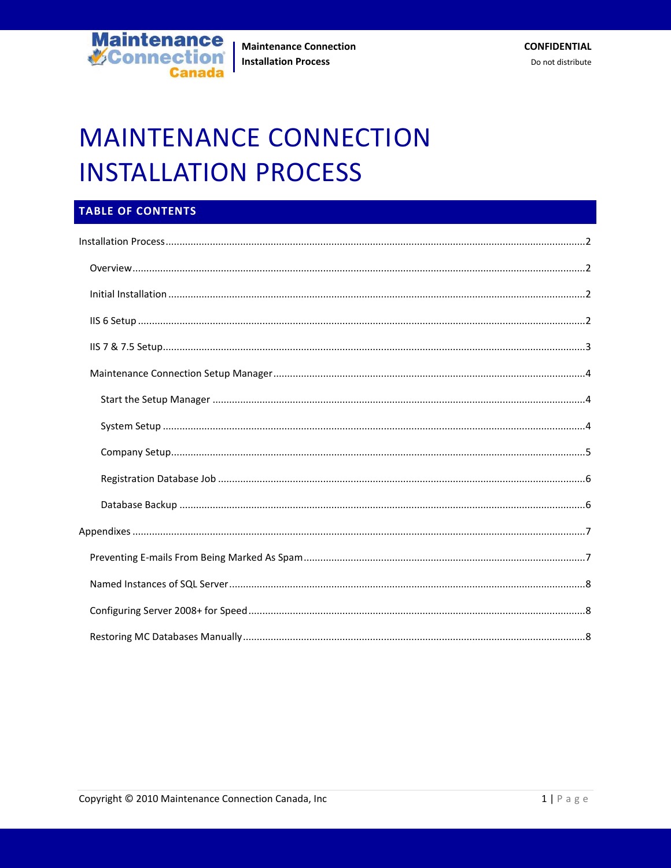

# **MAINTENANCE CONNECTION INSTALLATION PROCESS**

## TABLE OF CONTENTS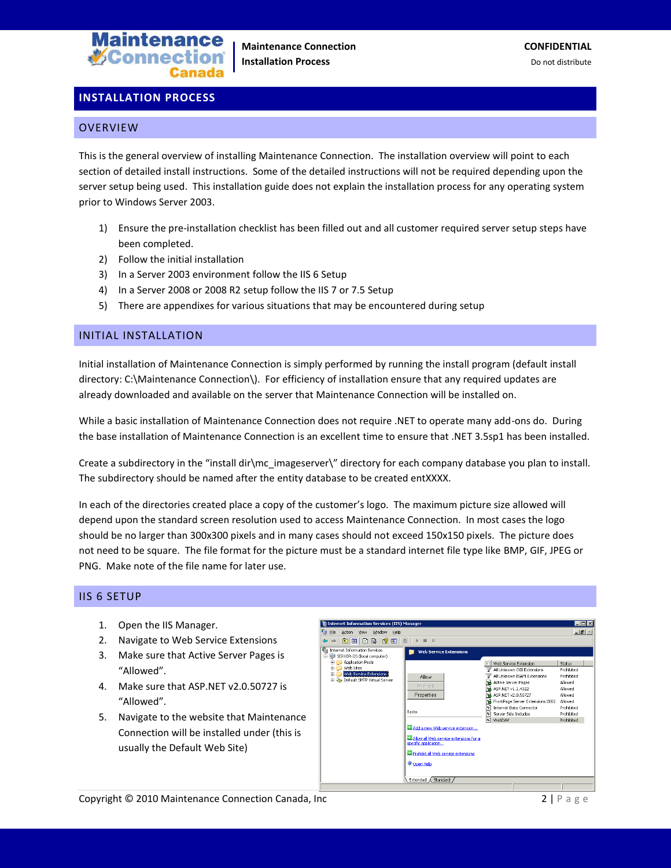

## <span id="page-1-0"></span>**INSTALLATION PROCESS**

#### <span id="page-1-1"></span>**OVERVIEW**

This is the general overview of installing Maintenance Connection. The installation overview will point to each section of detailed install instructions. Some of the detailed instructions will not be required depending upon the server setup being used. This installation guide does not explain the installation process for any operating system prior to Windows Server 2003.

- 1) Ensure the pre-installation checklist has been filled out and all customer required server setup steps have been completed.
- 2) Follow the initial installation
- 3) In a Server 2003 environment follow the IIS 6 Setup
- 4) In a Server 2008 or 2008 R2 setup follow the IIS 7 or 7.5 Setup
- 5) There are appendixes for various situations that may be encountered during setup

## <span id="page-1-2"></span>INITIAL INSTALLATION

Initial installation of Maintenance Connection is simply performed by running the install program (default install directory: C:\Maintenance Connection\). For efficiency of installation ensure that any required updates are already downloaded and available on the server that Maintenance Connection will be installed on.

While a basic installation of Maintenance Connection does not require .NET to operate many add-ons do. During the base installation of Maintenance Connection is an excellent time to ensure that .NET 3.5sp1 has been installed.

Create a subdirectory in the "install dir\mc\_imageserver\" directory for each company database you plan to install. The subdirectory should be named after the entity database to be created entXXXX.

In each of the directories created place a copy of the customer's logo. The maximum picture size allowed will depend upon the standard screen resolution used to access Maintenance Connection. In most cases the logo should be no larger than 300x300 pixels and in many cases should not exceed 150x150 pixels. The picture does not need to be square. The file format for the picture must be a standard internet file type like BMP, GIF, JPEG or PNG. Make note of the file name for later use.

#### <span id="page-1-3"></span>IIS 6 SETUP

- 1. Open the IIS Manager.
- 2. Navigate to Web Service Extensions
- 3. Make sure that Active Server Pages is "Allowed".
- 4. Make sure that ASP.NET v2.0.50727 is "Allowed".
- 5. Navigate to the website that Maintenance Connection will be installed under (this is usually the Default Web Site)

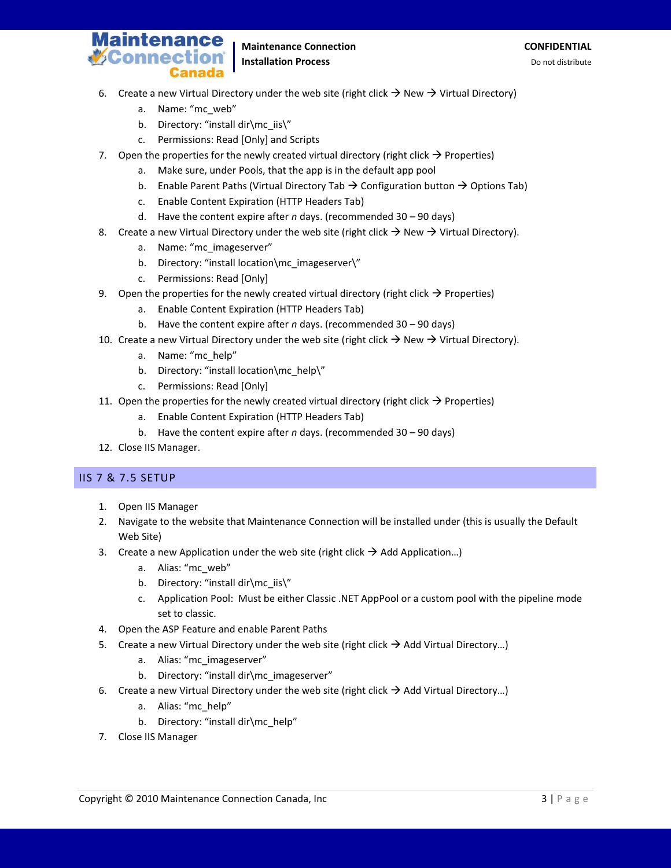

## **Maintenance Connection CONFIDENTIAL Installation Process Do not distribute** Do not distribute

- 6. Create a new Virtual Directory under the web site (right click  $\rightarrow$  New  $\rightarrow$  Virtual Directory)
	- a. Name: "mc\_web"
	- b. Directory: "install dir\mc\_iis\"
	- c. Permissions: Read [Only] and Scripts
- 7. Open the properties for the newly created virtual directory (right click  $\rightarrow$  Properties)
	- a. Make sure, under Pools, that the app is in the default app pool
	- b. Enable Parent Paths (Virtual Directory Tab  $\rightarrow$  Configuration button  $\rightarrow$  Options Tab)
	- c. Enable Content Expiration (HTTP Headers Tab)
	- d. Have the content expire after *n* days. (recommended 30 90 days)
- 8. Create a new Virtual Directory under the web site (right click  $\rightarrow$  New  $\rightarrow$  Virtual Directory).
	- a. Name: "mc\_imageserver"
	- b. Directory: "install location\mc\_imageserver\"
	- c. Permissions: Read [Only]
- 9. Open the properties for the newly created virtual directory (right click  $\rightarrow$  Properties)
	- a. Enable Content Expiration (HTTP Headers Tab)
	- b. Have the content expire after *n* days. (recommended 30 90 days)
- 10. Create a new Virtual Directory under the web site (right click  $\rightarrow$  New  $\rightarrow$  Virtual Directory).
	- a. Name: "mc\_help"
	- b. Directory: "install location\mc\_help\"
	- c. Permissions: Read [Only]
- 11. Open the properties for the newly created virtual directory (right click  $\rightarrow$  Properties)
	- a. Enable Content Expiration (HTTP Headers Tab)
	- b. Have the content expire after *n* days. (recommended 30 90 days)
- 12. Close IIS Manager.

## <span id="page-2-0"></span>IIS 7 & 7.5 SETUP

- 1. Open IIS Manager
- 2. Navigate to the website that Maintenance Connection will be installed under (this is usually the Default Web Site)
- 3. Create a new Application under the web site (right click  $\rightarrow$  Add Application...)
	- a. Alias: "mc\_web"
	- b. Directory: "install dir\mc\_iis\"
	- c. Application Pool: Must be either Classic .NET AppPool or a custom pool with the pipeline mode set to classic.
- 4. Open the ASP Feature and enable Parent Paths
- 5. Create a new Virtual Directory under the web site (right click  $\rightarrow$  Add Virtual Directory...)
	- a. Alias: "mc\_imageserver"
	- b. Directory: "install dir\mc\_imageserver"
- 6. Create a new Virtual Directory under the web site (right click  $\rightarrow$  Add Virtual Directory...)
	- a. Alias: "mc\_help"
	- b. Directory: "install dir\mc\_help"
- 7. Close IIS Manager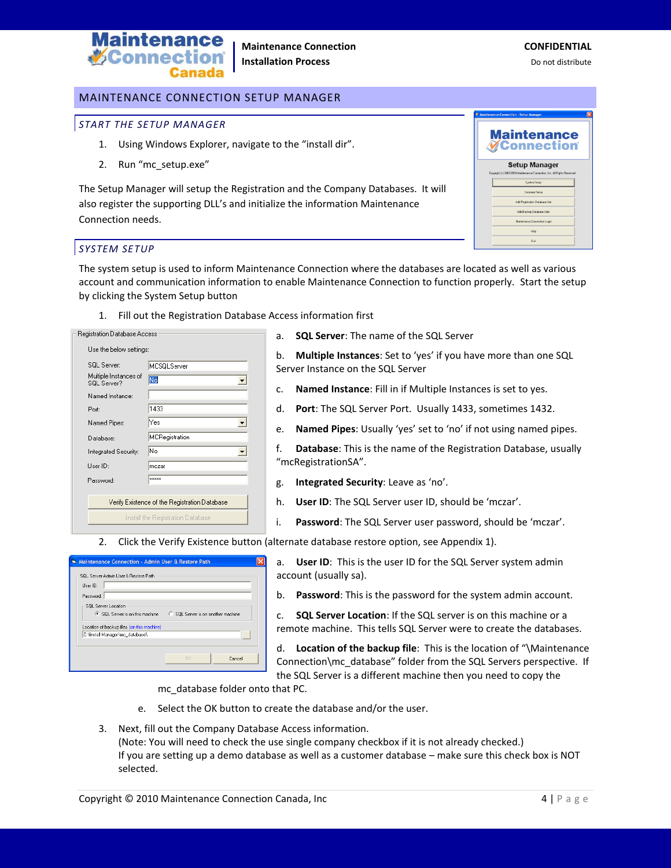

## <span id="page-3-0"></span>MAINTENANCE CONNECTION SETUP MANAGER

## <span id="page-3-1"></span>*START THE SETUP MANAGER*

- 1. Using Windows Explorer, navigate to the "install dir".
- 2. Run "mc\_setup.exe"

The Setup Manager will setup the Registration and the Company Databases. It will also register the supporting DLL's and initialize the information Maintenance Connection needs.

| <b>Maintenance</b><br>≹Connection<br><b>Setup Manager</b><br>Copyright (c) 2002-2004 Maintenance Connection, Inc. All Rights Reserved |
|---------------------------------------------------------------------------------------------------------------------------------------|
|                                                                                                                                       |
|                                                                                                                                       |
| System Selup                                                                                                                          |
| Company Setup                                                                                                                         |
| Add Registration Database Job                                                                                                         |
| Add Backup Database Jobs                                                                                                              |
| Maintenance Connection Login                                                                                                          |
| Help                                                                                                                                  |
| Exit                                                                                                                                  |

## <span id="page-3-2"></span>*SYSTEM SETUP*

The system setup is used to inform Maintenance Connection where the databases are located as well as various account and communication information to enable Maintenance Connection to function properly. Start the setup by clicking the System Setup button

1. Fill out the Registration Database Access information first

| Use the below settings:<br>SQL Server:<br><b>MCSQLServer</b><br>Multiple Instances of<br>No<br>SQL Server?<br>Named Instance:<br>1433<br>Port:<br>Yes<br>Named Pipes:<br>MCRegistration<br>Database:<br>No<br>Integrated Security:<br>Liser ID:<br>mczar<br><b>xxxxx</b><br>Password: | Hegistration Database Access |  |  |
|---------------------------------------------------------------------------------------------------------------------------------------------------------------------------------------------------------------------------------------------------------------------------------------|------------------------------|--|--|
|                                                                                                                                                                                                                                                                                       |                              |  |  |
|                                                                                                                                                                                                                                                                                       |                              |  |  |
|                                                                                                                                                                                                                                                                                       |                              |  |  |
|                                                                                                                                                                                                                                                                                       |                              |  |  |
|                                                                                                                                                                                                                                                                                       |                              |  |  |
|                                                                                                                                                                                                                                                                                       |                              |  |  |
|                                                                                                                                                                                                                                                                                       |                              |  |  |
|                                                                                                                                                                                                                                                                                       |                              |  |  |
|                                                                                                                                                                                                                                                                                       |                              |  |  |
|                                                                                                                                                                                                                                                                                       |                              |  |  |
|                                                                                                                                                                                                                                                                                       |                              |  |  |
| Verify Existence of the Registration Database                                                                                                                                                                                                                                         |                              |  |  |
| Install the Registration Database                                                                                                                                                                                                                                                     |                              |  |  |

- a. **SQL Server**: The name of the SQL Server
- b. **Multiple Instances**: Set to 'yes' if you have more than one SQL Server Instance on the SQL Server
- c. **Named Instance**: Fill in if Multiple Instances is set to yes.
- d. **Port**: The SQL Server Port. Usually 1433, sometimes 1432.
- e. **Named Pipes**: Usually 'yes' set to 'no' if not using named pipes.

f. **Database**: This is the name of the Registration Database, usually "mcRegistrationSA".

- g. **Integrated Security**: Leave as 'no'.
- h. **User ID**: The SQL Server user ID, should be 'mczar'.
- i. **Password**: The SQL Server user password, should be 'mczar'.
- 2. Click the Verify Existence button (alternate database restore option, see Appendix 1).

| Maintenance Connection - Admin User & Restore Path                                                                                                            |           |          |  |
|---------------------------------------------------------------------------------------------------------------------------------------------------------------|-----------|----------|--|
| SQL Server Admin User & Restore Path<br>Liser ID:<br>Password:<br>SQL Server Location<br>● SQL Server is on this machine ● C SQL Server is on another machine |           |          |  |
| Location of backup files (on this machine)                                                                                                                    |           |          |  |
| C:\Install Manager\mc_database\                                                                                                                               |           | $-7.7.7$ |  |
|                                                                                                                                                               | <b>DK</b> | Cancel   |  |

a. **User ID**: This is the user ID for the SQL Server system admin account (usually sa).

b. **Password**: This is the password for the system admin account.

c. **SQL Server Location**: If the SQL server is on this machine or a remote machine. This tells SQL Server were to create the databases.

d. **Location of the backup file**: This is the location of "\Maintenance Connection\mc\_database" folder from the SQL Servers perspective. If the SQL Server is a different machine then you need to copy the

mc\_database folder onto that PC.

- e. Select the OK button to create the database and/or the user.
- 3. Next, fill out the Company Database Access information. (Note: You will need to check the use single company checkbox if it is not already checked.) If you are setting up a demo database as well as a customer database – make sure this check box is NOT selected.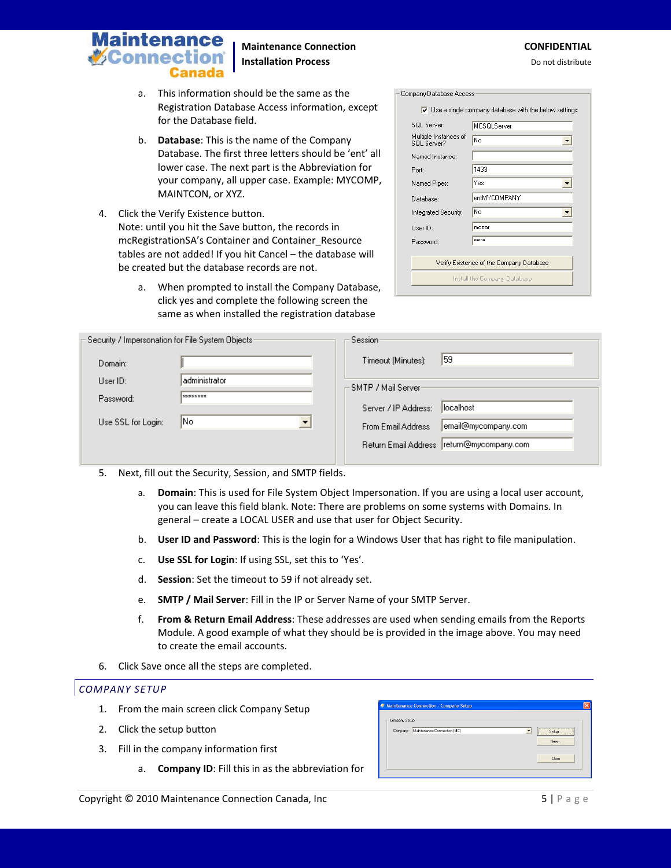

## **Maintenance Connection CONFIDENTIAL Installation Process Do not distribute** Do not distribute

- a. This information should be the same as the Registration Database Access information, except for the Database field.
- b. **Database**: This is the name of the Company Database. The first three letters should be 'ent' all lower case. The next part is the Abbreviation for your company, all upper case. Example: MYCOMP, MAINTCON, or XYZ.
- 4. Click the Verify Existence button. Note: until you hit the Save button, the records in mcRegistrationSA's Container and Container\_Resource tables are not added! If you hit Cancel – the database will be created but the database records are not.
	- a. When prompted to install the Company Database, click yes and complete the following screen the same as when installed the registration database

| Company Database Access                  | $\overline{\mathbf{v}}$ Use a single company database with the below settings: |  |
|------------------------------------------|--------------------------------------------------------------------------------|--|
| SQL Server:                              | MCSQLServer                                                                    |  |
| Multiple Instances of<br>SQL Server?     | No                                                                             |  |
| Named Instance:                          |                                                                                |  |
| Port:                                    | 1433                                                                           |  |
| Named Pipes:                             | Yes                                                                            |  |
| Database:                                | entMYCOMPANY                                                                   |  |
| Integrated Security:                     | No                                                                             |  |
| User ID:                                 | mczar                                                                          |  |
| Password:                                | xxxxx                                                                          |  |
| Verify Existence of the Company Database |                                                                                |  |
| Install the Company Database             |                                                                                |  |

| Security / Impersonation for File System Objects: |                                  | Session:              |                                            |
|---------------------------------------------------|----------------------------------|-----------------------|--------------------------------------------|
| Domain:                                           |                                  | Timeout (Minutes):    | 159                                        |
| Use <sub>1D</sub>                                 | administrator                    | : SMTP / Mail Server: |                                            |
| Password:                                         | <b>xxxxxxxx</b>                  |                       |                                            |
|                                                   |                                  | Server / IP Address:  | llocalhost                                 |
| Use SSL for Login:                                | INo.<br>$\overline{\phantom{a}}$ | From Email Address    | email@mycompany.com                        |
|                                                   |                                  |                       | Return Email Address  return@mycompany.com |
|                                                   |                                  |                       |                                            |

- 5. Next, fill out the Security, Session, and SMTP fields.
	- a. **Domain**: This is used for File System Object Impersonation. If you are using a local user account, you can leave this field blank. Note: There are problems on some systems with Domains. In general – create a LOCAL USER and use that user for Object Security.
	- b. **User ID and Password**: This is the login for a Windows User that has right to file manipulation.
	- c. **Use SSL for Login**: If using SSL, set this to 'Yes'.
	- d. **Session**: Set the timeout to 59 if not already set.
	- e. **SMTP / Mail Server**: Fill in the IP or Server Name of your SMTP Server.
	- f. **From & Return Email Address**: These addresses are used when sending emails from the Reports Module. A good example of what they should be is provided in the image above. You may need to create the email accounts.
- 6. Click Save once all the steps are completed.

## <span id="page-4-0"></span>*COMPANY SETUP*

- 1. From the main screen click Company Setup
- 2. Click the setup button
- 3. Fill in the company information first
	- a. **Company ID**: Fill this in as the abbreviation for

|                           | 4 Maintenance Connection - Company Setup |                |                           |
|---------------------------|------------------------------------------|----------------|---------------------------|
| Company Setup<br>Company: | Maintenance Connection (MC)              | $\overline{ }$ | Setup<br><br>New<br>Close |
|                           |                                          |                |                           |

Copyright © 2010 Maintenance Connection Canada, Inc 5 | P a g e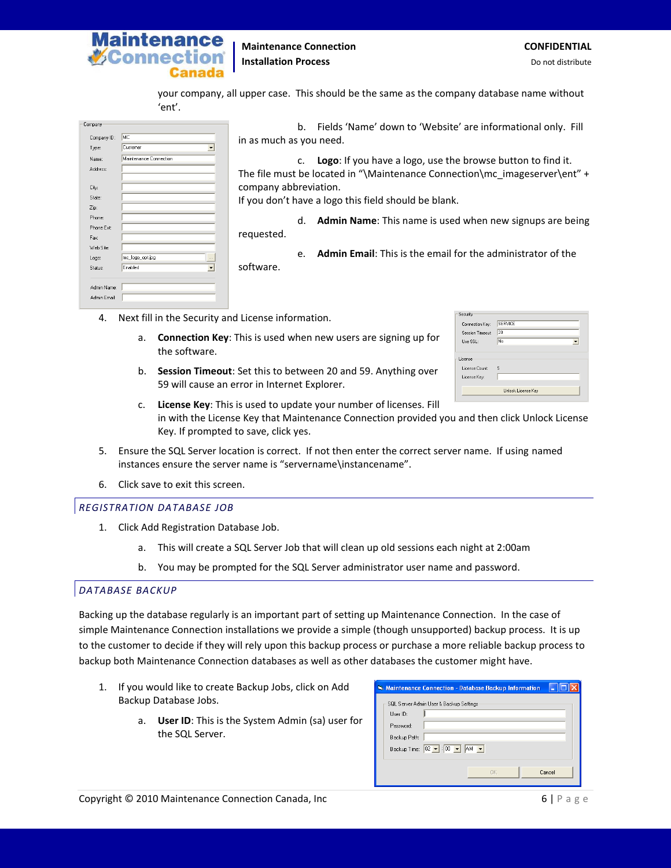

your company, all upper case. This should be the same as the company database name without 'ent'.

| Company                     |                                     | b.                      | Fields 'Name' down to 'Website' are informational only. Fill               |
|-----------------------------|-------------------------------------|-------------------------|----------------------------------------------------------------------------|
| Company ID:                 | MC                                  | in as much as you need. |                                                                            |
| Type:                       | Customer                            |                         |                                                                            |
| Name:                       | Maintenance Connection              |                         | <b>Logo:</b> If you have a logo, use the browse button to find it.         |
| Address:                    |                                     |                         | The file must be located in "\Maintenance Connection\mc imageserver\ent" + |
| City:                       |                                     | company abbreviation.   |                                                                            |
| State:                      |                                     |                         | If you don't have a logo this field should be blank.                       |
| Zip:                        |                                     |                         |                                                                            |
| Phone:                      |                                     | d.                      | <b>Admin Name:</b> This name is used when new signups are being            |
| Phone Ext:                  |                                     | requested.              |                                                                            |
| Fax:                        |                                     |                         |                                                                            |
| Web Site:                   |                                     | $\mathsf{P}$ .          | <b>Admin Email:</b> This is the email for the administrator of the         |
| Logo:                       | mc_logo_opt.jpg                     |                         |                                                                            |
| Status:                     | Enabled<br>$\overline{\phantom{a}}$ | software.               |                                                                            |
| Admin Name:<br>Admin Email: |                                     |                         |                                                                            |
|                             |                                     |                         |                                                                            |

- 4. Next fill in the Security and License information.
	- a. **Connection Key**: This is used when new users are signing up for the software.
	- b. **Session Timeout**: Set this to between 20 and 59. Anything over 59 will cause an error in Internet Explorer.

| Security                                  |                    |  |
|-------------------------------------------|--------------------|--|
| Connection Key:                           | SERVICE            |  |
| Session Timeout:                          | l2N                |  |
| Lise SSL:                                 | No                 |  |
| License<br>License Count:<br>License Key: | 5                  |  |
|                                           | Unlock License Key |  |
|                                           |                    |  |

- c. **License Key**: This is used to update your number of licenses. Fill in with the License Key that Maintenance Connection provided you and then click Unlock License Key. If prompted to save, click yes.
- 5. Ensure the SQL Server location is correct. If not then enter the correct server name. If using named instances ensure the server name is "servername\instancename".
- 6. Click save to exit this screen.

#### <span id="page-5-0"></span>*REGISTRATION DATABASE JOB*

- 1. Click Add Registration Database Job.
	- a. This will create a SQL Server Job that will clean up old sessions each night at 2:00am
	- b. You may be prompted for the SQL Server administrator user name and password.

#### <span id="page-5-1"></span>*DATABASE BACKUP*

Backing up the database regularly is an important part of setting up Maintenance Connection. In the case of simple Maintenance Connection installations we provide a simple (though unsupported) backup process. It is up to the customer to decide if they will rely upon this backup process or purchase a more reliable backup process to backup both Maintenance Connection databases as well as other databases the customer might have.

- 1. If you would like to create Backup Jobs, click on Add Backup Database Jobs.
	- a. **User ID**: This is the System Admin (sa) user for the SQL Server.

|              | Maintenance Connection - Database Backup Information  |
|--------------|-------------------------------------------------------|
|              | SQL Server Admin User & Backup Settings               |
| Liser ID:    |                                                       |
| Password:    |                                                       |
| Backup Path: |                                                       |
|              | Backup Time: $\boxed{02 - 100 - 14}$ AM $\rightarrow$ |
|              |                                                       |
|              | Cancel<br><b>nk</b>                                   |
|              |                                                       |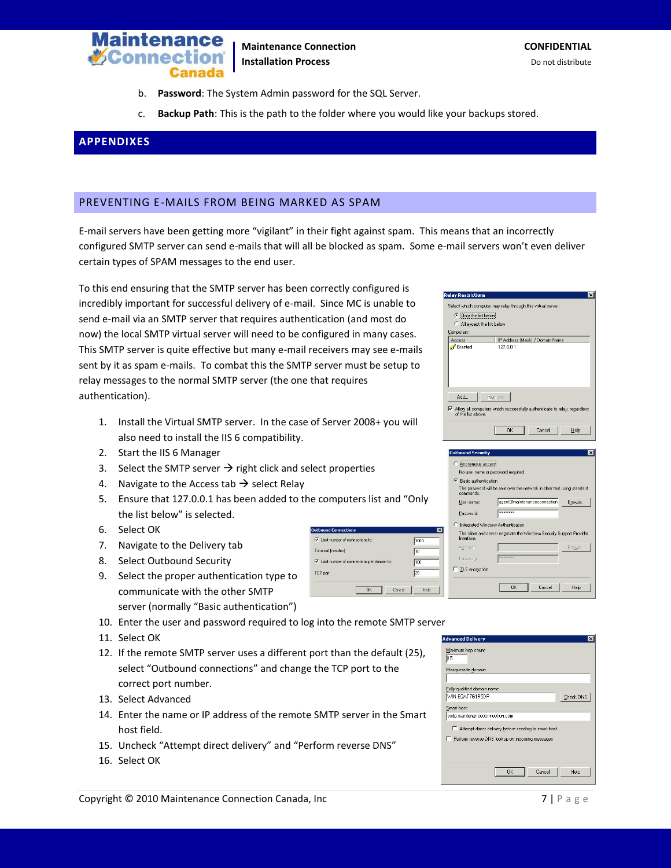

**Maintenance Connection CONFIDENTIAL Installation Process Do not distribute** Do not distribute

- b. **Password**: The System Admin password for the SQL Server.
- c. **Backup Path**: This is the path to the folder where you would like your backups stored.

## <span id="page-6-0"></span>**APPENDIXES**

#### <span id="page-6-1"></span>PREVENTING E-MAILS FROM BEING MARKED AS SPAM

E-mail servers have been getting more "vigilant" in their fight against spam. This means that an incorrectly configured SMTP server can send e-mails that will all be blocked as spam. Some e-mail servers won't even deliver certain types of SPAM messages to the end user.

**Outbound Connections** 

Time-out (minutes)  $\overline{\blacktriangledown}$  Limit number of ( TCP port

 $\nabla$  Limit number of connections to:

To this end ensuring that the SMTP server has been correctly configured is incredibly important for successful delivery of e-mail. Since MC is unable to send e-mail via an SMTP server that requires authentication (and most do now) the local SMTP virtual server will need to be configured in many cases. This SMTP server is quite effective but many e-mail receivers may see e-mails sent by it as spam e-mails. To combat this the SMTP server must be setup to relay messages to the normal SMTP server (the one that requires authentication).

- 1. Install the Virtual SMTP server. In the case of Server 2008+ you will also need to install the IIS 6 compatibility.
- 2. Start the IIS 6 Manager
- 3. Select the SMTP server  $\rightarrow$  right click and select properties
- 4. Navigate to the Access tab  $\rightarrow$  select Relay
- 5. Ensure that 127.0.0.1 has been added to the computers list and "Only the list below" is selected.
- 6. Select OK
- 7. Navigate to the Delivery tab
- 8. Select Outbound Security
- 9. Select the proper authentication type to communicate with the other SMTP server (normally "Basic authentication")
- 10. Enter the user and password required to log into the
- 11. Select OK
- 12. If the remote SMTP server uses a different port than the default (25), select "Outbound connections" and change the TCP port to the correct port number.
- 13. Select Advanced
- 14. Enter the name or IP address of the remote SMTP server in the Smart host field.
- 15. Uncheck "Attempt direct delivery" and "Perform reverse DNS"
- 16. Select OK

| nnections per domain to: | 10<br>100<br>25 | <b>CONFIDENTIAL PUL</b><br>Password:<br>□ ILS encryption |  |
|--------------------------|-----------------|----------------------------------------------------------|--|
| <b>OK</b><br>Cancel      | Help            |                                                          |  |
| remote SMTP server !     |                 |                                                          |  |
|                          |                 | <b>Advanced Delivery</b>                                 |  |
| the default $(25)$       |                 | Maximum hop count:                                       |  |

 $1000$ 

| Maximum hop count:<br>h5                             |
|------------------------------------------------------|
| Masquerade domain:                                   |
|                                                      |
| Fully-qualified domain name:                         |
| WIN-EQAT7G1R5DP<br><b>Check DNS</b>                  |
| Smart host:                                          |
| smtp.maintenanceconnection.com                       |
| Attempt direct delivery before sending to smart host |
| Perform reverse DNS lookup on incoming messages      |
|                                                      |
|                                                      |
| Cancel<br>OK<br>Help                                 |

| <b>Relay Restrictions</b> |                                                                                                    |  |
|---------------------------|----------------------------------------------------------------------------------------------------|--|
|                           | Select which computer may relay through this virtual server:                                       |  |
| C Only the list below     |                                                                                                    |  |
| All except the list below |                                                                                                    |  |
| Computers:                |                                                                                                    |  |
| Access                    | IP Address (Mask) / Domain Name                                                                    |  |
| Granted                   | 127 0 0 1                                                                                          |  |
|                           |                                                                                                    |  |
| Add<br>of the list above. | Remove<br>$\triangledown$ Allow all computers which successfully authenticate to relay, regardless |  |
|                           | Cancel<br><b>OK</b><br>Help                                                                        |  |

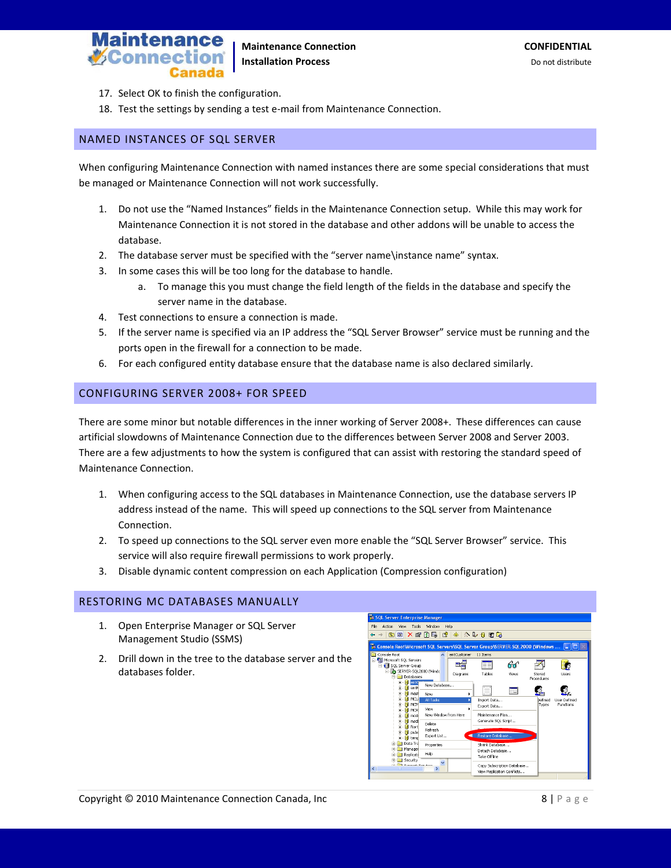

- 17. Select OK to finish the configuration.
- 18. Test the settings by sending a test e-mail from Maintenance Connection.

## <span id="page-7-0"></span>NAMED INSTANCES OF SQL SERVER

When configuring Maintenance Connection with named instances there are some special considerations that must be managed or Maintenance Connection will not work successfully.

- 1. Do not use the "Named Instances" fields in the Maintenance Connection setup. While this may work for Maintenance Connection it is not stored in the database and other addons will be unable to access the database.
- 2. The database server must be specified with the "server name\instance name" syntax.
- 3. In some cases this will be too long for the database to handle.
	- a. To manage this you must change the field length of the fields in the database and specify the server name in the database.
- 4. Test connections to ensure a connection is made.
- 5. If the server name is specified via an IP address the "SQL Server Browser" service must be running and the ports open in the firewall for a connection to be made.
- 6. For each configured entity database ensure that the database name is also declared similarly.

## <span id="page-7-1"></span>CONFIGURING SERVER 2008+ FOR SPEED

There are some minor but notable differences in the inner working of Server 2008+. These differences can cause artificial slowdowns of Maintenance Connection due to the differences between Server 2008 and Server 2003. There are a few adjustments to how the system is configured that can assist with restoring the standard speed of Maintenance Connection.

- 1. When configuring access to the SQL databases in Maintenance Connection, use the database servers IP address instead of the name. This will speed up connections to the SQL server from Maintenance Connection.
- 2. To speed up connections to the SQL server even more enable the "SQL Server Browser" service. This service will also require firewall permissions to work properly.
- 3. Disable dynamic content compression on each Application (Compression configuration)

## <span id="page-7-2"></span>RESTORING MC DATABASES MANUALLY

- 1. Open Enterprise Manager or SQL Server Management Studio (SSMS)
- 2. Drill down in the tree to the database server and the databases folder.